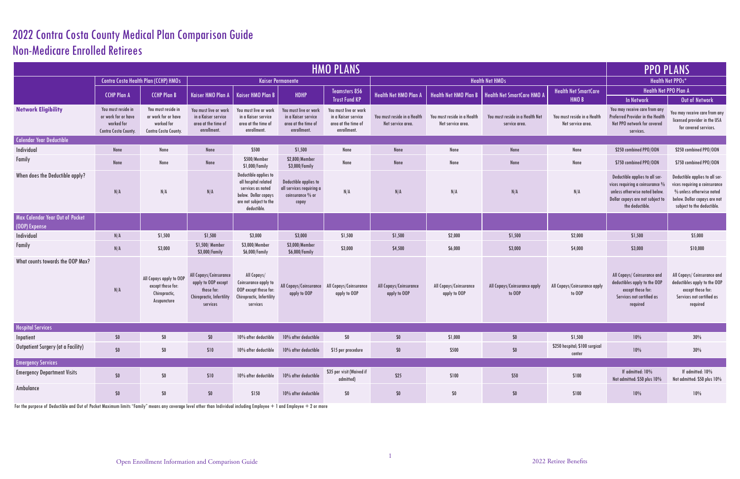## 2022 Contra Costa County Medical Plan Comparison Guide Non-Medicare Enrolled Retirees

| <b>HMO PLANS</b>                                 |                                                                                 |                                                                                 |                                                                                                      |                                                                                                                                     |                                                                                    |                                                                                   |                                                  |                                                  |                                                  |                                                  |                                                                                                                                                              | <b>PPO PLANS</b>                                                                                                                                          |  |
|--------------------------------------------------|---------------------------------------------------------------------------------|---------------------------------------------------------------------------------|------------------------------------------------------------------------------------------------------|-------------------------------------------------------------------------------------------------------------------------------------|------------------------------------------------------------------------------------|-----------------------------------------------------------------------------------|--------------------------------------------------|--------------------------------------------------|--------------------------------------------------|--------------------------------------------------|--------------------------------------------------------------------------------------------------------------------------------------------------------------|-----------------------------------------------------------------------------------------------------------------------------------------------------------|--|
|                                                  | <b>Contra Costa Health Plan (CCHP) HMOs</b>                                     |                                                                                 |                                                                                                      |                                                                                                                                     | <b>Kaiser Permanente</b>                                                           |                                                                                   | <b>Health Net HMOs</b>                           |                                                  |                                                  |                                                  | <b>Health Net PPOs*</b>                                                                                                                                      |                                                                                                                                                           |  |
|                                                  | <b>CCHP Plan A</b>                                                              | <b>CCHP Plan B</b>                                                              | Kaiser HMO Plan A                                                                                    | <b>Kaiser HMO Plan B</b>                                                                                                            | HDHP                                                                               | <b>Teamsters 856</b><br><b>Trust Fund KP</b>                                      | <b>Health Net HMO Plan A</b>                     | Health Net HMO Plan B                            | <b>Health Net SmartCare HMO A</b>                | <b>Health Net SmartCare</b><br>HMO <sub>B</sub>  | Health Net PPO Plan A<br><b>In Network</b>                                                                                                                   | Out of Network                                                                                                                                            |  |
| <b>Network Eligibility</b>                       | You must reside in<br>or work for or have<br>worked for<br>Contra Costa County. | You must reside in<br>or work for or have<br>worked for<br>Contra Costa County. | You must live or work<br>in a Kaiser service<br>area at the time of<br>enrollment.                   | You must live or work<br>in a Kaiser service<br>area at the time of<br>enrollment.                                                  | You must live or work<br>in a Kaiser service<br>area at the time of<br>enrollment. | You must live or work<br>in a Kaiser service<br>area at the time of<br>enrollment | You must reside in a Health<br>Net service area. | You must reside in a Health<br>Net service area. | You must reside in a Health Net<br>service area. | You must reside in a Health<br>Net service area. | You may receive care from any<br>Preferred Provider in the Health<br>Net PPO network for covered<br>services.                                                | You may receive care from any<br>licensed provider in the USA<br>for covered services.                                                                    |  |
| <b>Calendar Year Deductible</b>                  |                                                                                 |                                                                                 |                                                                                                      |                                                                                                                                     |                                                                                    |                                                                                   |                                                  |                                                  |                                                  |                                                  |                                                                                                                                                              |                                                                                                                                                           |  |
| Individual                                       | None                                                                            | None                                                                            | None                                                                                                 | \$500                                                                                                                               | \$1,500                                                                            | None                                                                              | None                                             | None                                             | None                                             | None                                             | \$250 combined PPO/OON                                                                                                                                       | \$250 combined PPO/OON                                                                                                                                    |  |
| Family                                           | None                                                                            | None                                                                            | None                                                                                                 | \$500/Member<br>\$1,000/Family                                                                                                      | \$2,800/Member<br>\$3,000/Family                                                   | None                                                                              | None                                             | None                                             | None                                             | None                                             | \$750 combined PPO/OON                                                                                                                                       | \$750 combined PPO/OON                                                                                                                                    |  |
| When does the Deductible apply?                  | N/A                                                                             | N/A                                                                             | N/A                                                                                                  | Deductible applies to<br>all hospital related<br>services as noted<br>below. Dollar copays<br>are not subject to the<br>deductible. | Deductible applies to<br>all services requiring a<br>coinsurance % or<br>copay     | N/A                                                                               | N/A                                              | N/A                                              | N/A                                              | N/A                                              | Deductible applies to all ser-<br>vices requiring a coinsurance $\%$<br>unless otherwise noted below.<br>Dollar copays are not subject to<br>the deductible. | Deductible applies to all ser-<br>vices requiring a coinsurance<br>% unless otherwise noted<br>below. Dollar copays are not<br>subject to the deductible. |  |
| Max Calendar Year Out of Pocket<br>(OOP) Expense |                                                                                 |                                                                                 |                                                                                                      |                                                                                                                                     |                                                                                    |                                                                                   |                                                  |                                                  |                                                  |                                                  |                                                                                                                                                              |                                                                                                                                                           |  |
| Individual                                       | N/A                                                                             | \$1,500                                                                         | \$1,500                                                                                              | \$3,000                                                                                                                             | \$3,000                                                                            | \$1,500                                                                           | \$1,500                                          | \$2,000                                          | \$1,500                                          | \$2,000                                          | \$1,500                                                                                                                                                      | \$5,000                                                                                                                                                   |  |
| Family                                           | N/A                                                                             | \$3,000                                                                         | \$1,500/Member<br>\$3,000/Family                                                                     | \$3,000/Member<br>\$6,000/Family                                                                                                    | \$3,000/Member<br>\$6,000/Family                                                   | \$3,000                                                                           | \$4,500                                          | \$6,000                                          | \$3,000                                          | \$4,000                                          | \$3,000                                                                                                                                                      | \$10,000                                                                                                                                                  |  |
| What counts towards the OOP Max?                 | N/A                                                                             | All Copays apply to OOP<br>except those for:<br>Chiropractic,<br>Acupuncture    | All Copays/Coinsurance<br>apply to OOP except<br>those for:<br>Chiropractic, Infertility<br>services | All Copays/<br>Coinsurance apply to<br>OOP except those for:<br>Chiropractic, Infertility<br>services                               | All Copays/Coinsurance<br>apply to OOP                                             | All Copays/Coinsurance<br>apply to OOP                                            | All Copays/Coinsurance<br>apply to OOP           | All Copays/Coinsurance<br>apply to OOP           | All Copays/Coinsurance apply<br>to OOP           | All Copays/Coinsurance apply<br>to OOP           | All Copays/ Coinsurance and<br>deductibles apply to the OOP<br>except those for:<br>Services not certified as<br>required                                    | All Copays/ Coinsurance and<br>deductibles apply to the OOP<br>except those for:<br>Services not certified as<br>required                                 |  |
| <b>Hospital Services</b>                         |                                                                                 |                                                                                 |                                                                                                      |                                                                                                                                     |                                                                                    |                                                                                   |                                                  |                                                  |                                                  |                                                  |                                                                                                                                                              |                                                                                                                                                           |  |
| Inpatient                                        | $$0\,$                                                                          | \$0                                                                             | $$0\,$                                                                                               | 10% after deductible                                                                                                                | 10% after deductible                                                               | $$0$$                                                                             | $$0\,$                                           | \$1,000                                          | $\$0$                                            | \$1,500                                          | $10\%$                                                                                                                                                       | 30%                                                                                                                                                       |  |
| Outpatient Surgery (at a Facility)               | $$0$$                                                                           | $$0$$                                                                           | \$10                                                                                                 | 10% after deductible                                                                                                                | 10% after deductible                                                               | \$15 per procedure                                                                | $$0\,$                                           | \$500                                            | $$0\,$                                           | \$250 hospital; \$100 surgical<br>center         | $10\%$                                                                                                                                                       | 30%                                                                                                                                                       |  |
| <b>Emergency Services</b>                        |                                                                                 |                                                                                 |                                                                                                      |                                                                                                                                     |                                                                                    |                                                                                   |                                                  |                                                  |                                                  |                                                  |                                                                                                                                                              |                                                                                                                                                           |  |
| <b>Emergency Department Visits</b>               | $$0$$                                                                           | $$0$$                                                                           | \$10                                                                                                 | 10% after deductible                                                                                                                | 10% after deductible                                                               | \$35 per visit (Waived if<br>admitted)                                            | \$25                                             | \$100                                            | \$50                                             | \$100                                            | If admitted: 10%<br>Not admitted: \$50 plus 10%                                                                                                              | If admitted: 10%<br>Not admitted: \$50 plus 10%                                                                                                           |  |
| Ambulance                                        | $$0$$                                                                           | $$0\,$                                                                          | $\$0$                                                                                                | \$150                                                                                                                               | 10% after deductible                                                               | \$0                                                                               | $$0\,$                                           | $\$0$                                            | $$0\,$                                           | \$100                                            | $10\%$                                                                                                                                                       | 10%                                                                                                                                                       |  |

For the purpose of Deductible and Out of Pocket Maximum limits "Family" means any coverage level other than Individual including Employee  $+$  1 and Employee  $+$  2 or more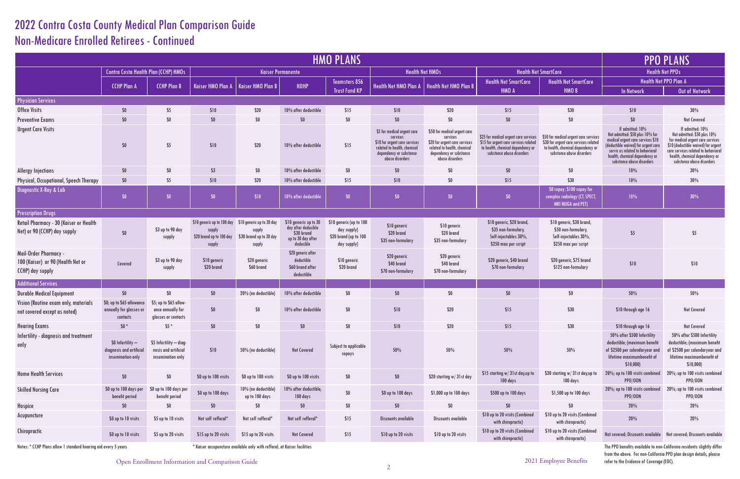## 2022 Contra Costa County Medical Plan Comparison Guide Non-Medicare Enrolled Retirees - Continued

| <b>HMO PLANS</b>                                                                      |                                                                    |                                                                      |                                                                                                      |                                             |                                                                                               |                                                                                |                                                                                                                                                       |                                                                                                                                                        |                                                                                                                                                  |                                                                                                                                                  |                                                                                                                                                                                                                                   | <b>PPO PLANS</b>                                                                                                                                                            |  |
|---------------------------------------------------------------------------------------|--------------------------------------------------------------------|----------------------------------------------------------------------|------------------------------------------------------------------------------------------------------|---------------------------------------------|-----------------------------------------------------------------------------------------------|--------------------------------------------------------------------------------|-------------------------------------------------------------------------------------------------------------------------------------------------------|--------------------------------------------------------------------------------------------------------------------------------------------------------|--------------------------------------------------------------------------------------------------------------------------------------------------|--------------------------------------------------------------------------------------------------------------------------------------------------|-----------------------------------------------------------------------------------------------------------------------------------------------------------------------------------------------------------------------------------|-----------------------------------------------------------------------------------------------------------------------------------------------------------------------------|--|
|                                                                                       | <b>Contra Costa Health Plan (CCHP) HMOs</b>                        |                                                                      |                                                                                                      | <b>Kaiser Permanente</b>                    |                                                                                               |                                                                                |                                                                                                                                                       | <b>Health Net HMOs</b>                                                                                                                                 | <b>Health Net SmartCare</b>                                                                                                                      |                                                                                                                                                  | <b>Health Net PPOs</b>                                                                                                                                                                                                            |                                                                                                                                                                             |  |
|                                                                                       | <b>CCHP Plan A</b>                                                 | <b>CCHP Plan B</b>                                                   | <b>Kaiser HMO Plan A</b>                                                                             | Kaiser HMO Plan B                           | HDHP                                                                                          | Teamsters 856                                                                  |                                                                                                                                                       | Health Net HMO Plan A   Health Net HMO Plan B                                                                                                          | <b>Health Net SmartCare</b>                                                                                                                      | <b>Health Net SmartCare</b>                                                                                                                      |                                                                                                                                                                                                                                   | Health Net PPO Plan A                                                                                                                                                       |  |
|                                                                                       |                                                                    |                                                                      |                                                                                                      |                                             |                                                                                               | <b>Trust Fund KP</b>                                                           |                                                                                                                                                       |                                                                                                                                                        | HMO A                                                                                                                                            | HMO <sub>B</sub>                                                                                                                                 | <b>In Network</b>                                                                                                                                                                                                                 | Out of Netwo                                                                                                                                                                |  |
| <b>Physician Services</b>                                                             |                                                                    |                                                                      |                                                                                                      |                                             |                                                                                               |                                                                                |                                                                                                                                                       |                                                                                                                                                        |                                                                                                                                                  |                                                                                                                                                  |                                                                                                                                                                                                                                   |                                                                                                                                                                             |  |
| <b>Office Visits</b>                                                                  | \$0                                                                | \$5                                                                  | \$10                                                                                                 | \$20                                        | 10% after deductible                                                                          | \$15                                                                           | \$10                                                                                                                                                  | \$20                                                                                                                                                   | \$15                                                                                                                                             | \$30                                                                                                                                             | \$10                                                                                                                                                                                                                              | 30%                                                                                                                                                                         |  |
| <b>Preventive Exams</b>                                                               | $$0$$                                                              | $$0\,$                                                               | \$0                                                                                                  | $$0\,$                                      | $$0$$                                                                                         | $\$0$                                                                          | $$0$$                                                                                                                                                 | \$0                                                                                                                                                    | $$0$$                                                                                                                                            | $\$0$                                                                                                                                            | $$0$$                                                                                                                                                                                                                             | Not Covered                                                                                                                                                                 |  |
| <b>Urgent Care Visits</b>                                                             | \$0                                                                | \$5                                                                  | \$10                                                                                                 | \$20                                        | 10% after deductible                                                                          | \$15                                                                           | \$5 for medical urgent care<br>services<br>\$10 for urgent care services<br>related to health, chemical<br>dependency or substonce<br>abuse disorders | \$50 for medical urgent care<br>services<br>\$20 for urgent care services<br>related to health, chemical<br>dependency or substonce<br>abuse disorders | \$25 for medical urgent care services<br>\$15 for urgent care services related<br>to health, chemical dependency or<br>substonce abuse disorders | \$50 for medical urgent care services<br>\$30 for urgent care services related<br>to health, chemical dependency or<br>substonce abuse disorders | If admitted: 10%<br>Not admitted: \$50 plus 10% for<br>medical urgent care services \$10<br>(deductible waived) for urgent care<br>servic es related to behavioral<br>health, chemical dependency or<br>substonce abuse disorders | If admitted: 10<br>Not admitted: \$50 pl<br>for medical urgent car<br>\$10 (deductible waived)<br>care services related to<br>health, chemical deper<br>substonce abuse dis |  |
| <b>Allergy Injections</b>                                                             | \$0                                                                | \$0                                                                  | \$3                                                                                                  | \$0                                         | 10% after deductible                                                                          | $\$0$                                                                          | $$0$$                                                                                                                                                 | $$0\,$                                                                                                                                                 | \$0                                                                                                                                              | $$0\,$                                                                                                                                           | 10%                                                                                                                                                                                                                               | 30%                                                                                                                                                                         |  |
| Physical, Occupational, Speech Therapy                                                | \$0                                                                | \$5                                                                  | \$10                                                                                                 | \$20                                        | 10% after deductible                                                                          | \$15                                                                           | \$10                                                                                                                                                  | \$0                                                                                                                                                    | \$15                                                                                                                                             | \$30                                                                                                                                             | 10%                                                                                                                                                                                                                               | 30%                                                                                                                                                                         |  |
| <b>Diagnostic X-Ray &amp; Lab</b>                                                     | \$0                                                                | \$0                                                                  | \$0                                                                                                  | \$10                                        | 10% after deductible                                                                          | \$0                                                                            | \$0                                                                                                                                                   | \$0                                                                                                                                                    | \$0                                                                                                                                              | \$0 copay; \$100 copay for<br>complex radiology (CT, SPECT,<br><b>MRI MUGA and PET)</b>                                                          | 10%                                                                                                                                                                                                                               | 30%                                                                                                                                                                         |  |
| <b>Prescription Drugs</b>                                                             |                                                                    |                                                                      |                                                                                                      |                                             |                                                                                               |                                                                                |                                                                                                                                                       |                                                                                                                                                        |                                                                                                                                                  |                                                                                                                                                  |                                                                                                                                                                                                                                   |                                                                                                                                                                             |  |
| Retail Pharmacy - 30 (Kaiser or Health<br>Net) or 90 (CCHP) day supply                | \$0                                                                | \$3 up to 90 day<br>supply                                           | \$10 generic up to 100 day \$10 generic up to 30 day<br>supply<br>\$20 brand up to 100 day<br>supply | supply<br>\$30 brand up to 30 day<br>supply | \$10 generic up to 30<br>day after deducible<br>\$30 brand<br>up to 30 day after<br>deducible | \$10 generic (up to 100<br>day supply)<br>\$20 brand (up to 100<br>day supply) | \$10 generic<br>\$20 brand<br>\$35 non-formulary                                                                                                      | \$10 generic<br>\$20 brand<br>\$35 non-formulary                                                                                                       | \$10 generic, \$20 brand,<br>\$35 non-formulary,<br>Self-injectables 30%,<br>\$250 max per script                                                | \$10 generic, \$30 brand,<br>\$50 non-formulary,<br>Self-injectables 30%,<br>\$250 max per script                                                | \$5                                                                                                                                                                                                                               | \$5                                                                                                                                                                         |  |
| Mail-Order Pharmacy -<br>100 (Kaiser) or 90 (Health Net or<br><b>CCHP)</b> day supply | Covered                                                            | \$3 up to 90 day<br>supply                                           | \$10 generic<br>\$20 brand                                                                           | \$20 generic<br>\$60 brand                  | \$20 generic after<br>deductible<br>\$60 brand after<br>deductible                            | \$10 generic<br>\$20 brand                                                     | \$20 generic<br>\$40 brand<br>\$70 non-formulary                                                                                                      | \$20 generic<br>\$40 brand<br>\$70 non-formulary                                                                                                       | \$20 generic, \$40 brand<br>\$70 non-formulary                                                                                                   | \$20 generic, \$75 brand<br>\$125 non-formulary                                                                                                  | \$10                                                                                                                                                                                                                              | \$10                                                                                                                                                                        |  |
| Additional Services                                                                   |                                                                    |                                                                      |                                                                                                      |                                             |                                                                                               |                                                                                |                                                                                                                                                       |                                                                                                                                                        |                                                                                                                                                  |                                                                                                                                                  |                                                                                                                                                                                                                                   |                                                                                                                                                                             |  |
| <b>Durable Medical Equipment</b>                                                      | \$0                                                                | \$0                                                                  | \$0                                                                                                  | 20% (no deductible)                         | 10% after deductible                                                                          | $$0$$                                                                          | $$0$$                                                                                                                                                 | \$0                                                                                                                                                    | \$0                                                                                                                                              | $\$0$                                                                                                                                            | 50%                                                                                                                                                                                                                               | 50%                                                                                                                                                                         |  |
| Vision (Routine exam only, materials<br>not covered except as noted)                  | \$0; up to \$65 allowance<br>annually for glasses or<br>contacts   | \$5; up to \$65 allow-<br>ance annually for<br>glasses or contacts   | \$0                                                                                                  | \$0                                         | 10% after deductible                                                                          | $$0$$                                                                          | \$10                                                                                                                                                  | \$20                                                                                                                                                   | \$15                                                                                                                                             | \$30                                                                                                                                             | \$10 through age 16                                                                                                                                                                                                               | Not Covered                                                                                                                                                                 |  |
| <b>Hearing Exams</b>                                                                  | $$0*$                                                              | \$5 *                                                                | \$0\$                                                                                                | SO.                                         | \$0                                                                                           | \$0                                                                            | \$10                                                                                                                                                  | \$20                                                                                                                                                   | \$15                                                                                                                                             | \$30                                                                                                                                             | \$10 through age 16                                                                                                                                                                                                               | <b>Not Covered</b>                                                                                                                                                          |  |
| Infertility - diagnosis and treatment<br>only                                         | \$0 Infertility -<br>diagnosis and artificial<br>insemination only | \$5 Infertility - diag-<br>nosis and artificial<br>insemination only | \$10                                                                                                 | 50% (no deductible)                         | <b>Not Covered</b>                                                                            | Subject to applicable<br>copays                                                | $50\%$                                                                                                                                                | 50%                                                                                                                                                    | $50\%$                                                                                                                                           | $50\%$                                                                                                                                           | 50% after \$500 Infertility<br>deductible; (maximum benefit<br>of \$2500 per calendaryear and<br>lifetime maximumbenefit of<br>\$10,000                                                                                           | 50% after \$500 In<br>deductible; (maximu<br>of \$2500 per calenda<br>lifetime maximumb<br>\$10,000                                                                         |  |
| <b>Home Health Services</b>                                                           | \$0                                                                | $$0\,$                                                               | \$0 up to 100 visits                                                                                 | \$0 up to 100 visits                        | \$0 up to 100 visits                                                                          | $$0\,$                                                                         | \$0                                                                                                                                                   | \$20 starting w/31st day                                                                                                                               | \$15 starting w/ 31st day, up to<br>100 days                                                                                                     | \$30 starting w/ 31 st day, up to<br>100 days                                                                                                    | 20%; up to 100 visits combined<br><b>PPO/OON</b>                                                                                                                                                                                  | $20\%$ ; up to $100$ visits<br><b>PPO/OON</b>                                                                                                                               |  |
| <b>Skilled Nursing Care</b>                                                           | \$0 up to 100 days per<br>benefit period                           | \$0 up to 100 days per<br>benefit period                             | \$0 up to 100 days                                                                                   | 10% (no deductible)<br>up to 100 days       | 10% after deductible,<br>100 days                                                             | $\$0$                                                                          | \$0 up to 100 days                                                                                                                                    | \$1,000 up to 100 days                                                                                                                                 | \$500 up to 100 days                                                                                                                             | \$1,500 up to 100 days                                                                                                                           | 20%; up to 100 visits combined<br><b>PPO/OON</b>                                                                                                                                                                                  | 20%; up to 100 visits<br><b>PPO/OON</b>                                                                                                                                     |  |
| Hospice                                                                               | \$0                                                                | \$0                                                                  | \$0                                                                                                  | \$0                                         | $$0\,$                                                                                        | \$0                                                                            | $$0\,$                                                                                                                                                | \$0                                                                                                                                                    | $$0$$                                                                                                                                            | \$0                                                                                                                                              | 20%                                                                                                                                                                                                                               | 20%                                                                                                                                                                         |  |
| Acupuncture                                                                           | \$0 up to 10 visits                                                | \$5 up to 10 visits                                                  | Not self refferal*                                                                                   | Not self refferal*                          | Not self refferal*                                                                            | \$15                                                                           | Discounts available                                                                                                                                   | Discounts available                                                                                                                                    | \$10 up to 20 visits (Combined<br>with chiropractic)                                                                                             | \$10 up to 20 visits (Combined<br>with chiropractic)                                                                                             | 20%                                                                                                                                                                                                                               | $20\%$                                                                                                                                                                      |  |
| Chiropractic                                                                          | \$0 up to 10 visits                                                | \$5 up to 20 visits                                                  | \$15 up to 20 visits                                                                                 | \$15 up to 20 visits                        | <b>Not Covered</b>                                                                            | \$15                                                                           | \$10 up to 20 visits                                                                                                                                  | \$10 up to 20 visits                                                                                                                                   | \$10 up to 20 visits (Combined<br>with chiropractic)                                                                                             | \$10 up to 20 visits (Combined<br>with chiropractic)                                                                                             |                                                                                                                                                                                                                                   |                                                                                                                                                                             |  |
|                                                                                       |                                                                    |                                                                      |                                                                                                      |                                             |                                                                                               |                                                                                |                                                                                                                                                       |                                                                                                                                                        |                                                                                                                                                  |                                                                                                                                                  |                                                                                                                                                                                                                                   |                                                                                                                                                                             |  |

Notes: \* CCHP Plans allow 1 standard hearing aid every 5 years \* \* \* \* \* \* \* Kaiser accupuncture available only with refferal, at Kaiser facilities

|                                                                                                                                                  |                                                                                                                                                                                                                                   | PPO PLANS                                                                                                                                                                                                                        |  |  |  |  |  |
|--------------------------------------------------------------------------------------------------------------------------------------------------|-----------------------------------------------------------------------------------------------------------------------------------------------------------------------------------------------------------------------------------|----------------------------------------------------------------------------------------------------------------------------------------------------------------------------------------------------------------------------------|--|--|--|--|--|
| martCare                                                                                                                                         | <b>Health Net PPOs</b>                                                                                                                                                                                                            |                                                                                                                                                                                                                                  |  |  |  |  |  |
| <b>Health Net SmartCare</b>                                                                                                                      |                                                                                                                                                                                                                                   | <b>Health Net PPO Plan A</b>                                                                                                                                                                                                     |  |  |  |  |  |
| HMO <sub>B</sub>                                                                                                                                 | <b>In Network</b>                                                                                                                                                                                                                 | <b>Out of Network</b>                                                                                                                                                                                                            |  |  |  |  |  |
|                                                                                                                                                  |                                                                                                                                                                                                                                   |                                                                                                                                                                                                                                  |  |  |  |  |  |
| \$30                                                                                                                                             | \$10                                                                                                                                                                                                                              | 30%                                                                                                                                                                                                                              |  |  |  |  |  |
| \$O                                                                                                                                              | \$0                                                                                                                                                                                                                               | Not Covered                                                                                                                                                                                                                      |  |  |  |  |  |
| \$50 for medical urgent care services<br>\$30 for urgent care services related<br>to health, chemical dependency or<br>substonce abuse disorders | If admitted: 10%<br>Not admitted: \$50 plus 10% for<br>medical urgent care services \$10<br>(deductible waived) for urgent care<br>servic es related to behavioral<br>health, chemical dependency or<br>substonce abuse disorders | If admitted: 10%<br>Not admitted: \$50 plus 10%<br>for medical urgent care services<br>\$10 (deductible waived) for urgent<br>care services related to behavioral<br>health, chemical dependency or<br>substonce abuse disorders |  |  |  |  |  |
| \$O                                                                                                                                              | 10%                                                                                                                                                                                                                               | 30%                                                                                                                                                                                                                              |  |  |  |  |  |
| \$30                                                                                                                                             | 10%                                                                                                                                                                                                                               | 30%                                                                                                                                                                                                                              |  |  |  |  |  |
| \$0 copay; \$100 copay for<br>complex radiology (CT, SPECT,<br><b>MRI MUGA and PET)</b>                                                          | 10%                                                                                                                                                                                                                               | 30%                                                                                                                                                                                                                              |  |  |  |  |  |
|                                                                                                                                                  |                                                                                                                                                                                                                                   |                                                                                                                                                                                                                                  |  |  |  |  |  |
| \$10 generic, \$30 brand,<br>\$50 non-formulary,<br>Self-injectables 30%,<br>\$250 max per script                                                | \$5                                                                                                                                                                                                                               | \$5                                                                                                                                                                                                                              |  |  |  |  |  |
| \$20 generic, \$75 brand<br>\$125 non-formulary                                                                                                  | \$10                                                                                                                                                                                                                              | \$10                                                                                                                                                                                                                             |  |  |  |  |  |
|                                                                                                                                                  |                                                                                                                                                                                                                                   |                                                                                                                                                                                                                                  |  |  |  |  |  |
| \$0                                                                                                                                              | 50%                                                                                                                                                                                                                               | 50%                                                                                                                                                                                                                              |  |  |  |  |  |
| \$30                                                                                                                                             | \$10 through age 16                                                                                                                                                                                                               | <b>Not Covered</b>                                                                                                                                                                                                               |  |  |  |  |  |
| \$30                                                                                                                                             | \$10 through age 16                                                                                                                                                                                                               | <b>Not Covered</b>                                                                                                                                                                                                               |  |  |  |  |  |
| 50%                                                                                                                                              | 50% after \$500 Infertility<br>deductible; (maximum benefit<br>of \$2500 per calendaryear and<br>lifetime maximumbenefit of<br>\$10,000)                                                                                          | 50% after \$500 Infertility<br>deductible; (maximum benefit<br>of \$2500 per calendaryear and<br>lifetime maximumbenefit of<br>\$10,000)                                                                                         |  |  |  |  |  |
| \$30 starting w/ 31 st day, up to<br>100 days                                                                                                    | 20%; up to 100 visits combined<br><b>PPO/OON</b>                                                                                                                                                                                  | 20%; up to 100 visits combined<br><b>PPO/OON</b>                                                                                                                                                                                 |  |  |  |  |  |
| \$1,500 up to 100 days                                                                                                                           | 20%; up to 100 visits combined<br><b>PPO/OON</b>                                                                                                                                                                                  | 20%; up to 100 visits combined<br><b>PPO/OON</b>                                                                                                                                                                                 |  |  |  |  |  |
| \$0                                                                                                                                              | 20%                                                                                                                                                                                                                               | 20%                                                                                                                                                                                                                              |  |  |  |  |  |
| \$10 up to 20 visits (Combined<br>with chiropractic)                                                                                             | 20%                                                                                                                                                                                                                               | 20%                                                                                                                                                                                                                              |  |  |  |  |  |
| \$10 up to 20 visits (Combined<br>with chiropractic)                                                                                             | Not covered; Discounts available                                                                                                                                                                                                  | Not covered; Discounts available                                                                                                                                                                                                 |  |  |  |  |  |
| <b>Employee Benefits</b>                                                                                                                         | The PPO benefits available to non-California residents slightly differ<br>from the above. For non-California PPO plan design details, please<br>refer to the Evidence of Coverage (EOC).                                          |                                                                                                                                                                                                                                  |  |  |  |  |  |

2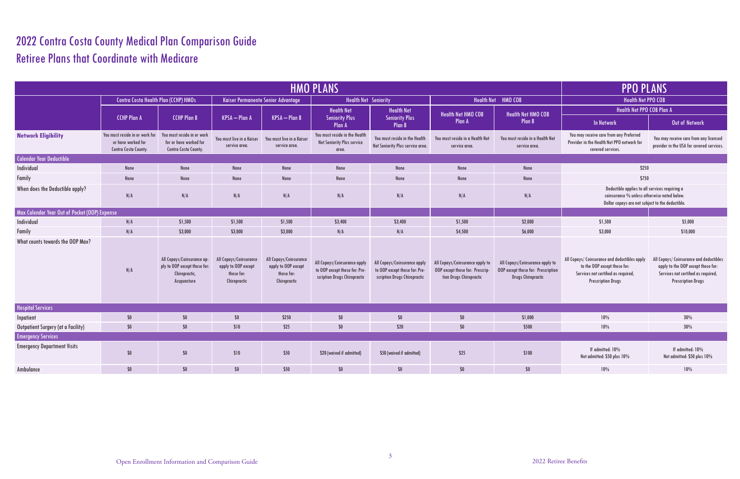## 2022 Contra Costa County Medical Plan Comparison Guide Retiree Plans that Coordinate with Medicare

| <b>HMO PLANS</b>                              |                                                                                     |                                                                                            |                                                                             |                                                                             |                                                                                               |                                                                                               | <b>PPO PLANS</b>                                                                              |                                                                                                    |                                                                                                                                                   |                                                                                                                                                   |  |
|-----------------------------------------------|-------------------------------------------------------------------------------------|--------------------------------------------------------------------------------------------|-----------------------------------------------------------------------------|-----------------------------------------------------------------------------|-----------------------------------------------------------------------------------------------|-----------------------------------------------------------------------------------------------|-----------------------------------------------------------------------------------------------|----------------------------------------------------------------------------------------------------|---------------------------------------------------------------------------------------------------------------------------------------------------|---------------------------------------------------------------------------------------------------------------------------------------------------|--|
|                                               | <b>Contra Costa Health Plan (CCHP) HMOs</b>                                         |                                                                                            | Kaiser Permanente Senior Advantage                                          |                                                                             | <b>Health Net Seniority</b>                                                                   |                                                                                               | <b>Health Net</b>                                                                             | HMO COB                                                                                            | <b>Health Net PPO COB</b>                                                                                                                         |                                                                                                                                                   |  |
|                                               |                                                                                     |                                                                                            |                                                                             |                                                                             | <b>Health Net</b>                                                                             | <b>Health Net</b>                                                                             | <b>Health Net HMO COB</b>                                                                     | <b>Health Net HMO COB</b>                                                                          | Health Net PPO COB Plan A                                                                                                                         |                                                                                                                                                   |  |
|                                               | <b>CCHP Plan A</b>                                                                  | <b>CCHP Plan B</b>                                                                         | KPSA - Plan A                                                               | <b>KPSA</b> - Plan B                                                        | <b>Seniority Plus</b><br><b>Plan A</b>                                                        | <b>Seniority Plus</b><br><b>Plan B</b>                                                        | Plan A                                                                                        | <b>Plan B</b>                                                                                      | <b>In Network</b>                                                                                                                                 | Out of Network                                                                                                                                    |  |
| <b>Network Eligibility</b>                    | You must reside in or work for<br>or have worked for<br><b>Contra Costa County.</b> | You must reside in or work<br>for or have worked for<br><b>Contra Costa County.</b>        | You must live in a Kaiser<br>service area.                                  | You must live in a Kaiser<br>service area.                                  | You must reside in the Health<br>Net Seniority Plus service<br>area.                          | You must reside in the Health<br>Net Seniority Plus service area.                             | You must reside in a Health Net<br>service area.                                              | You must reside in a Health Net<br>service area.                                                   | You may receive care from any Preferred<br>Provider in the Health Net PPO network for<br>covered services.                                        | You may receive care from any licensed<br>provider in the USA for covered services.                                                               |  |
| <b>Calendar Year Deductible</b>               |                                                                                     |                                                                                            |                                                                             |                                                                             |                                                                                               |                                                                                               |                                                                                               |                                                                                                    |                                                                                                                                                   |                                                                                                                                                   |  |
| Individual                                    | None                                                                                | None                                                                                       | None                                                                        | None                                                                        | None                                                                                          | None                                                                                          | None                                                                                          | None                                                                                               | \$250                                                                                                                                             |                                                                                                                                                   |  |
| Family                                        | None                                                                                | None                                                                                       | None                                                                        | None                                                                        | None                                                                                          | None                                                                                          | None                                                                                          | None                                                                                               | \$750                                                                                                                                             |                                                                                                                                                   |  |
| When does the Deductible apply?               | N/A                                                                                 | N/A                                                                                        | N/A                                                                         | N/A                                                                         | N/A                                                                                           | N/A                                                                                           | N/A                                                                                           | N/A                                                                                                | Deductible applies to all services requiring a<br>coinsurance % unless otherwise noted below.<br>Dollar copays are not subject to the deductible. |                                                                                                                                                   |  |
| Max Calendar Year Out of Pocket (OOP) Expense |                                                                                     |                                                                                            |                                                                             |                                                                             |                                                                                               |                                                                                               |                                                                                               |                                                                                                    |                                                                                                                                                   |                                                                                                                                                   |  |
| Individual                                    | N/A                                                                                 | \$1,500                                                                                    | \$1,500                                                                     | \$1,500                                                                     | \$3,400                                                                                       | \$3,400                                                                                       | \$1,500                                                                                       | \$2,000                                                                                            | \$1,500                                                                                                                                           | \$5,000                                                                                                                                           |  |
| Family                                        | N/A                                                                                 | \$3,000                                                                                    | \$3,000                                                                     | \$3,000                                                                     | N/A                                                                                           | N/A                                                                                           | \$4,500                                                                                       | \$6,000                                                                                            | \$3,000                                                                                                                                           | \$10,000                                                                                                                                          |  |
| What counts towards the OOP Max?              | N/A                                                                                 | All Copays/Coinsurance ap-<br>ply to OOP except those for:<br>Chiropractic,<br>Acupuncture | All Copays/Coinsurance<br>apply to OOP except<br>those for:<br>Chiropractic | All Copays/Coinsurance<br>apply to OOP except<br>those for:<br>Chiropractic | All Copays/Coinsurance apply<br>to OOP except those for: Pre-<br>scription Drugs Chiropractic | All Copays/Coinsurance apply<br>to OOP except those for: Pre-<br>scription Drugs Chiropractic | All Copays/Coinsurance apply to<br>OOP except those for: Prescrip-<br>tion Drugs Chiropractic | All Copays/Coinsurance apply to<br>OOP except those for: Prescription<br><b>Drugs Chiropractic</b> | All Copays/ Coinsurance and deductibles apply<br>to the OOP except those for:<br>Services not certified as required,<br><b>Prescription Drugs</b> | All Copays/ Coinsurance and deductibles<br>apply to the OOP except those for:<br>Services not certified as required,<br><b>Prescription Drugs</b> |  |
| <b>Hospital Services</b>                      |                                                                                     |                                                                                            |                                                                             |                                                                             |                                                                                               |                                                                                               |                                                                                               |                                                                                                    |                                                                                                                                                   |                                                                                                                                                   |  |
| Inpatient                                     | $$0\,$                                                                              | \$0                                                                                        | \$0                                                                         | \$250                                                                       | \$0                                                                                           | $$0\,$                                                                                        | \$0\$                                                                                         | \$1,000                                                                                            | 10%                                                                                                                                               | 30%                                                                                                                                               |  |
| Outpatient Surgery (at a Facility)            | $$0$$                                                                               | \$0                                                                                        | \$10                                                                        | \$25                                                                        | \$0                                                                                           | \$20                                                                                          | \$0                                                                                           | \$500                                                                                              | 10%                                                                                                                                               | 30%                                                                                                                                               |  |
| <b>Emergency Services</b>                     |                                                                                     |                                                                                            |                                                                             |                                                                             |                                                                                               |                                                                                               |                                                                                               |                                                                                                    |                                                                                                                                                   |                                                                                                                                                   |  |
| <b>Emergency Department Visits</b>            | $$0\,$                                                                              | \$0                                                                                        | \$10                                                                        | \$50                                                                        | \$20 (waived if admitted)                                                                     | \$50 (waived if admitted)                                                                     | \$25                                                                                          | \$100                                                                                              | If admitted: 10%<br>Not admitted: \$50 plus 10%                                                                                                   | If admitted: 10%<br>Not admitted: \$50 plus 10%                                                                                                   |  |
| Ambulance                                     | \$0\$                                                                               | \$0                                                                                        | \$0                                                                         | \$50                                                                        | $$0$$                                                                                         | $$0$$                                                                                         | \$0                                                                                           | \$0                                                                                                | 10%                                                                                                                                               | 10%                                                                                                                                               |  |